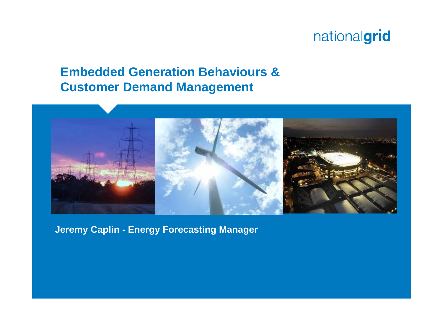#### **Embedded Generation Behaviours & Customer Demand Management**



**Jeremy Caplin - Energy Forecasting Manager**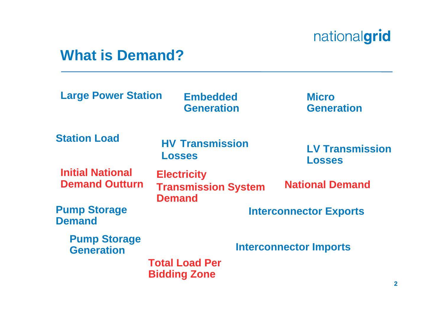#### **What is Demand?**

| <b>Large Power Station</b>                       | <b>Embedded</b><br><b>Generation</b>                              | <b>Micro</b><br><b>Generation</b>       |  |  |  |
|--------------------------------------------------|-------------------------------------------------------------------|-----------------------------------------|--|--|--|
| <b>Station Load</b>                              | <b>HV Transmission</b><br><b>Losses</b>                           | <b>LV Transmission</b><br><b>Losses</b> |  |  |  |
| <b>Initial National</b><br><b>Demand Outturn</b> | <b>Electricity</b><br><b>Transmission System</b><br><b>Demand</b> | <b>National Demand</b>                  |  |  |  |
| <b>Pump Storage</b><br><b>Demand</b>             |                                                                   | <b>Interconnector Exports</b>           |  |  |  |
| <b>Pump Storage</b><br><b>Generation</b>         |                                                                   | <b>Interconnector Imports</b>           |  |  |  |
|                                                  | <b>Total Load Per</b><br><b>Bidding Zone</b>                      |                                         |  |  |  |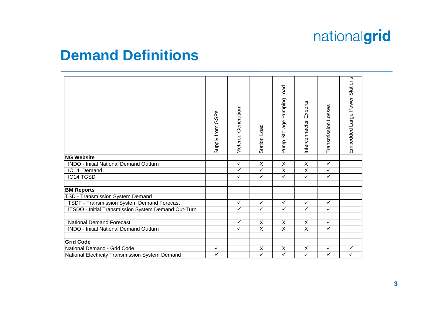#### **Demand Definitions**

| <b>NG Website</b>                                   | Supply from GSPs | Metered Generation | Station Load            | Pump Storage Pumping Load | Interconnector Exports  | Transmission Losses | Embedded Large Power Stations |
|-----------------------------------------------------|------------------|--------------------|-------------------------|---------------------------|-------------------------|---------------------|-------------------------------|
| <b>INDO - Initial National Demand Outturn</b>       |                  | $\checkmark$       | $\overline{\mathsf{x}}$ | $\overline{\mathsf{x}}$   | $\overline{\mathsf{x}}$ | $\checkmark$        |                               |
| IO14_Demand                                         |                  | ✓                  | $\checkmark$            | $\overline{\mathsf{X}}$   | $\overline{\mathsf{x}}$ | $\checkmark$        |                               |
| <b>IO14 TGSD</b>                                    |                  | $\checkmark$       | $\checkmark$            | $\checkmark$              | $\checkmark$            | $\checkmark$        |                               |
| <b>BM Reports</b>                                   |                  |                    |                         |                           |                         |                     |                               |
| <b>TSD - Transmission System Demand</b>             |                  |                    |                         |                           |                         |                     |                               |
| TSDF - Transmission System Demand Forecast          |                  | ✓                  | $\checkmark$            | $\checkmark$              | $\checkmark$            | $\checkmark$        |                               |
| ITSDO - Initial Transmission System Demand Out-Turn |                  | $\checkmark$       | $\checkmark$            | $\checkmark$              | $\checkmark$            | $\checkmark$        |                               |
| <b>National Demand Forecast</b>                     |                  | $\checkmark$       | X                       | $\pmb{\times}$            | $\overline{\mathsf{x}}$ | $\checkmark$        |                               |
| <b>INDO - Initial National Demand Outturn</b>       |                  | $\checkmark$       | $\overline{\mathsf{x}}$ | $\overline{X}$            | $\overline{X}$          | $\checkmark$        |                               |
| <b>Grid Code</b>                                    |                  |                    |                         |                           |                         |                     |                               |
| National Demand - Grid Code                         |                  |                    | $\overline{\mathsf{x}}$ | $\overline{X}$            | $\overline{\mathsf{x}}$ | $\checkmark$        | $\checkmark$                  |
| National Electricity Transmission System Demand     |                  |                    | $\checkmark$            | $\checkmark$              | $\checkmark$            | $\checkmark$        | $\checkmark$                  |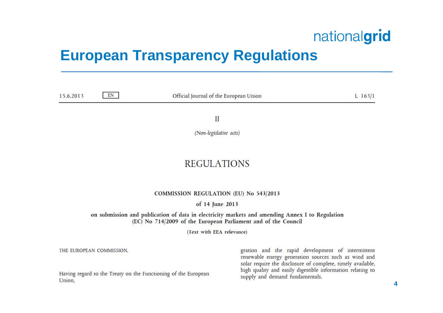#### **European Transparency Regulations**

| 15.6.2013 | EN | Official Journal of the European Union | $L$ 163/1 |  |  |
|-----------|----|----------------------------------------|-----------|--|--|
|           |    | $\mathbf{II}$                          |           |  |  |
|           |    | (Non-legislative acts)                 |           |  |  |
|           |    |                                        |           |  |  |

#### **REGULATIONS**

**COMMISSION REGULATION (EU) No 543/2013** 

of 14 June 2013

on submission and publication of data in electricity markets and amending Annex I to Regulation (EC) No 714/2009 of the European Parliament and of the Council

(Text with EEA relevance)

THE EUROPEAN COMMISSION,

Having regard to the Treaty on the Functioning of the European Union,

gration and the rapid development of intermittent renewable energy generation sources such as wind and solar require the disclosure of complete, timely available, high quality and easily digestible information relating to supply and demand fundamentals.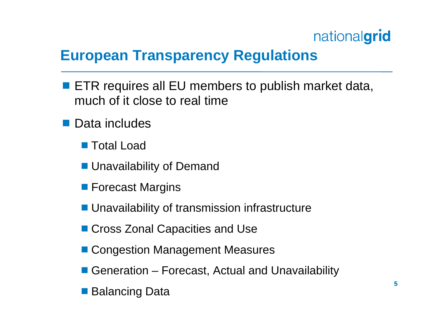### **European Transparency Regulations**

- ETR requires all EU members to publish market data, much of it close to real time
- **Data includes** 
	- Total Load
	- Unavailability of Demand
	- **Forecast Margins**
	- Unavailability of transmission infrastructure
	- Cross Zonal Capacities and Use
	- Congestion Management Measures
	- Generation Forecast, Actual and Unavailability
	- Balancing Data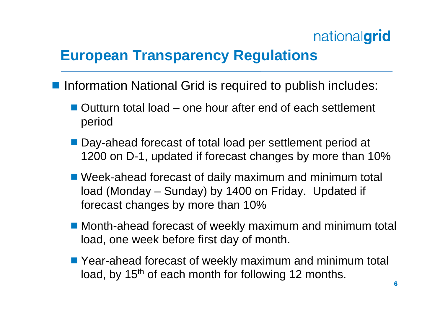## **European Transparency Regulations**

- Information National Grid is required to publish includes:
	- Outturn total load one hour after end of each settlement period
	- Day-ahead forecast of total load per settlement period at 1200 on D-1, updated if forecast changes by more than 10%
	- Week-ahead forecast of daily maximum and minimum total load (Monday – Sunday) by 1400 on Friday. Updated if forecast changes by more than 10%
	- Month-ahead forecast of weekly maximum and minimum total load, one week before first day of month.
	- Year-ahead forecast of weekly maximum and minimum total load, by 15<sup>th</sup> of each month for following 12 months.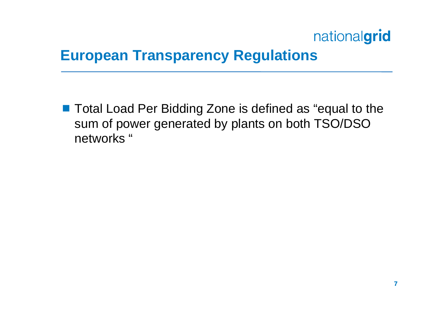#### **European Transparency Regulations**

■ Total Load Per Bidding Zone is defined as "equal to the sum of power generated by plants on both TSO/DSO networks "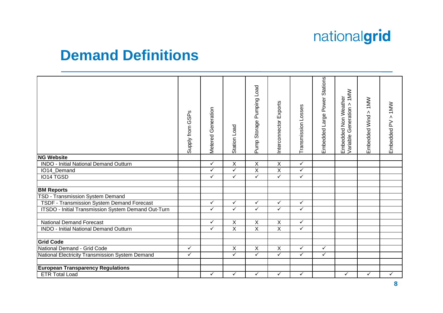#### **Demand Definitions**

|                                                     | GSPs<br>Supply from | Metered Generation | Station Load   | Pumping Load<br>Storage<br>Pump <sub>3</sub> | Interconnector Exports  | Transmission Losses | Embedded Large Power Stations | Embedded Non Weather<br>Variable Generation > 1MW | Embedded Wind > 1MW | Embedded PV > 1MW |
|-----------------------------------------------------|---------------------|--------------------|----------------|----------------------------------------------|-------------------------|---------------------|-------------------------------|---------------------------------------------------|---------------------|-------------------|
| <b>NG Website</b>                                   |                     |                    |                |                                              |                         |                     |                               |                                                   |                     |                   |
| <b>INDO - Initial National Demand Outturn</b>       |                     | $\checkmark$       | X              | $\overline{X}$                               | $\overline{X}$          | $\checkmark$        |                               |                                                   |                     |                   |
| IO14_Demand                                         |                     | ✓                  | ✓              | $\overline{X}$                               | $\overline{X}$          | $\checkmark$        |                               |                                                   |                     |                   |
| IO14 TGSD                                           |                     | ✓                  | ✓              | $\checkmark$                                 | $\checkmark$            | $\checkmark$        |                               |                                                   |                     |                   |
|                                                     |                     |                    |                |                                              |                         |                     |                               |                                                   |                     |                   |
| <b>BM Reports</b>                                   |                     |                    |                |                                              |                         |                     |                               |                                                   |                     |                   |
| TSD - Transmission System Demand                    |                     |                    |                |                                              |                         |                     |                               |                                                   |                     |                   |
| TSDF - Transmission System Demand Forecast          |                     | ✓                  | ✓              | $\checkmark$                                 | $\checkmark$            | ✓                   |                               |                                                   |                     |                   |
| ITSDO - Initial Transmission System Demand Out-Turn |                     | $\checkmark$       | ✓              | $\checkmark$                                 | $\checkmark$            | $\checkmark$        |                               |                                                   |                     |                   |
| <b>National Demand Forecast</b>                     |                     | $\checkmark$       | Χ              | $\overline{X}$                               | $\sf X$                 | $\checkmark$        |                               |                                                   |                     |                   |
| <b>INDO - Initial National Demand Outturn</b>       |                     | ✓                  | $\overline{X}$ | $\overline{X}$                               | $\overline{\mathsf{x}}$ | $\checkmark$        |                               |                                                   |                     |                   |
| <b>Grid Code</b>                                    |                     |                    |                |                                              |                         |                     |                               |                                                   |                     |                   |
| National Demand - Grid Code                         | $\checkmark$        |                    | $\overline{X}$ | $\overline{X}$                               | $\overline{X}$          | $\checkmark$        | $\checkmark$                  |                                                   |                     |                   |
| National Electricity Transmission System Demand     | ✓                   |                    | ✓              | $\checkmark$                                 | $\checkmark$            | $\checkmark$        | ✓                             |                                                   |                     |                   |
|                                                     |                     |                    |                |                                              |                         |                     |                               |                                                   |                     |                   |
| <b>European Transparency Regulations</b>            |                     |                    |                |                                              |                         |                     |                               |                                                   |                     |                   |
| <b>ETR Total Load</b>                               |                     | $\checkmark$       | ✓              | $\checkmark$                                 | $\checkmark$            | ✓                   |                               | $\checkmark$                                      | $\checkmark$        | $\checkmark$      |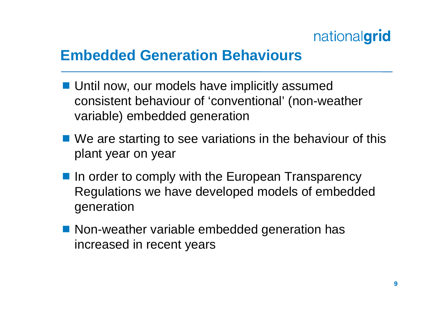### **Embedded Generation Behaviours**

- **Until now, our models have implicitly assumed** consistent behaviour of 'conventional' (non-weather variable) embedded generation
- We are starting to see variations in the behaviour of this plant year on year
- In order to comply with the European Transparency Regulations we have developed models of embedded generation
- Non-weather variable embedded generation has increased in recent years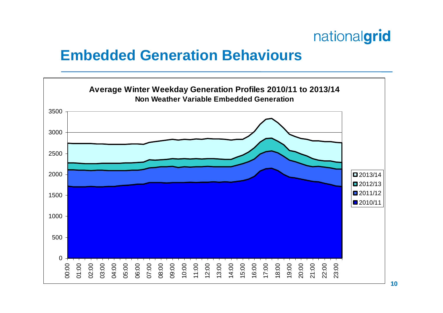#### **Embedded Generation Behaviours**

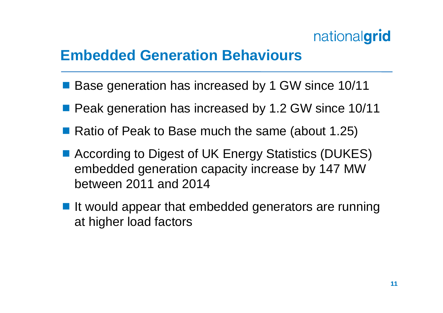#### **Embedded Generation Behaviours**

- Base generation has increased by 1 GW since 10/11
- **Peak generation has increased by 1.2 GW since 10/11**
- Ratio of Peak to Base much the same (about 1.25)
- According to Digest of UK Energy Statistics (DUKES) embedded generation capacity increase by 147 MW between 2011 and 2014
- It would appear that embedded generators are running at higher load factors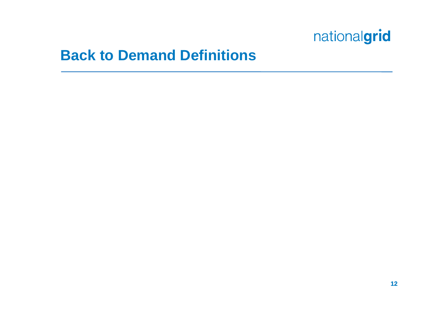#### **Back to Demand Definitions**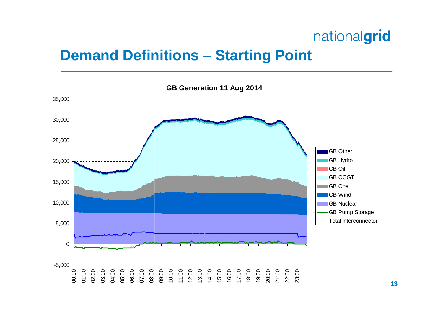#### **Demand Definitions – Starting Point**

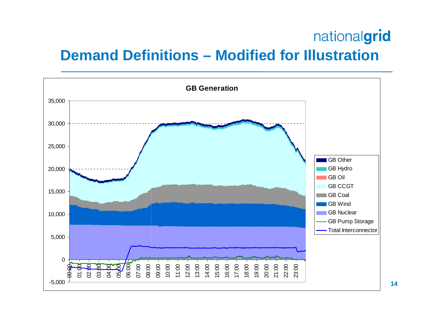### nationalgrid **Demand Definitions – Modified for Illustration**



**14**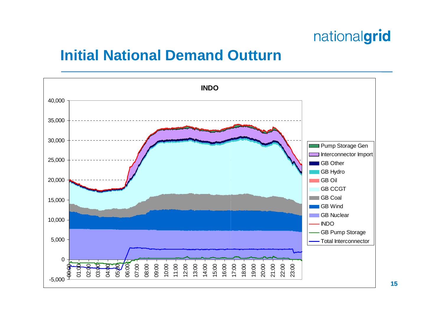#### **Initial National Demand Outturn**



**15**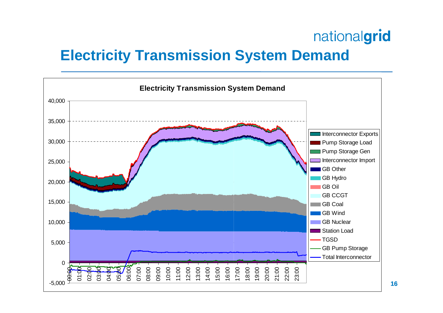## **Electricity Transmission System Demand**

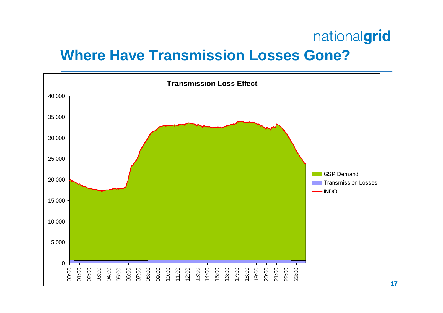#### **Where Have Transmission Losses Gone?**

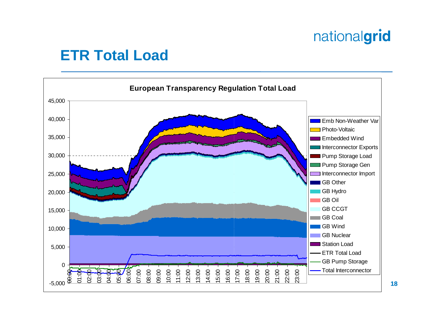#### **ETR Total Load**

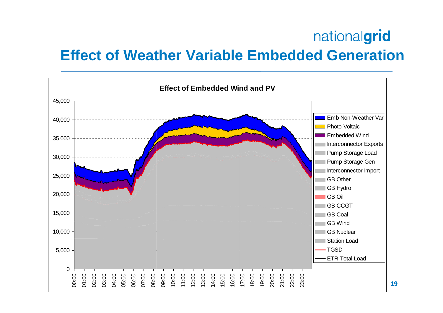#### **Effect of Weather Variable Embedded Generation**

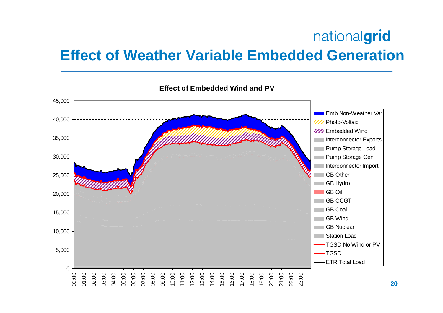#### **Effect of Weather Variable Embedded Generation**

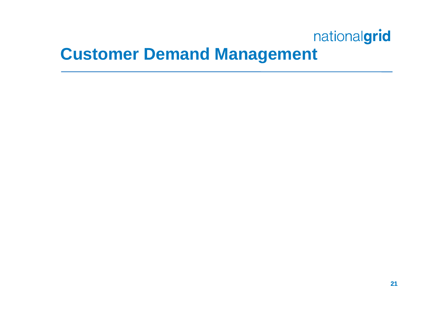## **Customer Demand Management**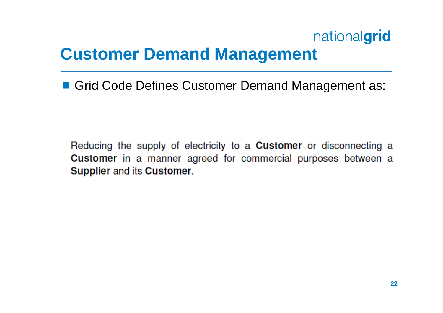## **Customer Demand Management**

■ Grid Code Defines Customer Demand Management as:

Reducing the supply of electricity to a **Customer** or disconnecting a Customer in a manner agreed for commercial purposes between a Supplier and its Customer.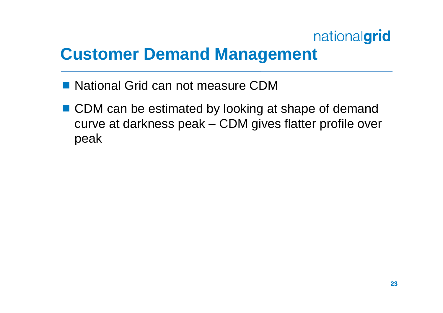## **Customer Demand Management**

- National Grid can not measure CDM
- CDM can be estimated by looking at shape of demand curve at darkness peak – CDM gives flatter profile over peak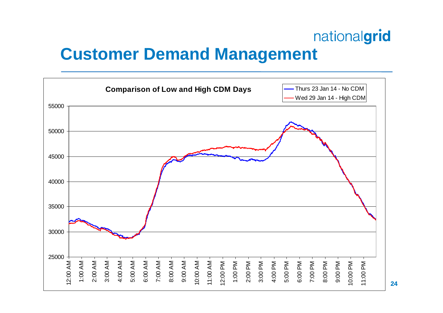## **Customer Demand Management**

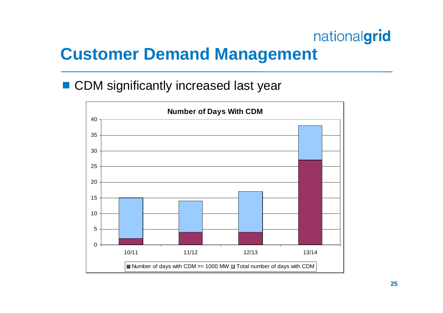## **Customer Demand Management**

■ CDM significantly increased last year

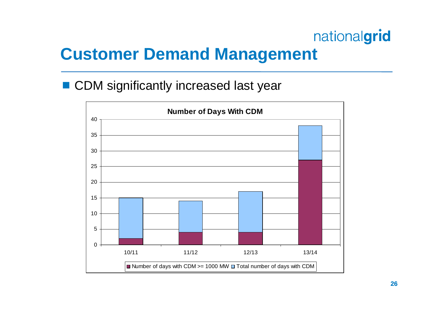## **Customer Demand Management**

■ CDM significantly increased last year

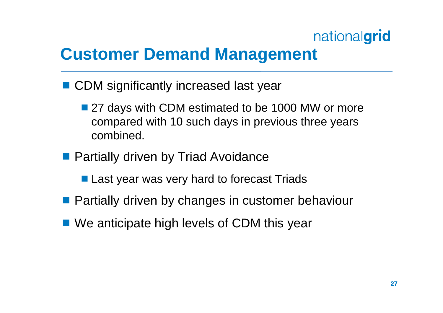## **Customer Demand Management**

- CDM significantly increased last year
	- 27 days with CDM estimated to be 1000 MW or more compared with 10 such days in previous three years combined.
- **Partially driven by Triad Avoidance** 
	- **Last year was very hard to forecast Triads**
- **Partially driven by changes in customer behaviour**
- We anticipate high levels of CDM this year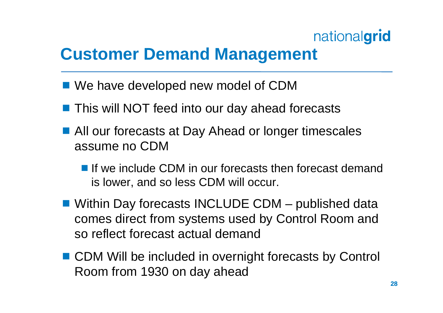## **Customer Demand Management**

- We have developed new model of CDM
- This will NOT feed into our day ahead forecasts
- All our forecasts at Day Ahead or longer timescales assume no CDM
	- If we include CDM in our forecasts then forecast demand is lower, and so less CDM will occur.
- Within Day forecasts INCLUDE CDM published data comes direct from systems used by Control Room and so reflect forecast actual demand
- CDM Will be included in overnight forecasts by Control Room from 1930 on day ahead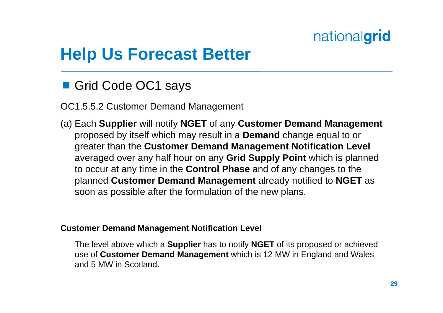## **Help Us Forecast Better**

Grid Code OC1 says

OC1.5.5.2 Customer Demand Management

(a) Each **Supplier** will notify **NGET** of any **Customer Demand Management**  proposed by itself which may result in a **Demand** change equal to or greater than the **Customer Demand Management Notification Level**  averaged over any half hour on any **Grid Supply Point** which is planned to occur at any time in the **Control Phase** and of any changes to the planned **Customer Demand Management** already notified to **NGET** as soon as possible after the formulation of the new plans.

#### **Customer Demand Management Notification Level**

The level above which a **Supplier** has to notify **NGET** of its proposed or achieved use of **Customer Demand Management** which is 12 MW in England and Wales and 5 MW in Scotland.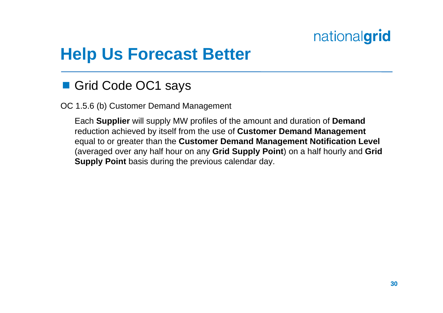## **Help Us Forecast Better**

#### Grid Code OC1 says

OC 1.5.6 (b) Customer Demand Management

Each **Supplier** will supply MW profiles of the amount and duration of **Demand**  reduction achieved by itself from the use of **Customer Demand Management**  equal to or greater than the **Customer Demand Management Notification Level**  (averaged over any half hour on any **Grid Supply Point**) on a half hourly and **Grid Supply Point** basis during the previous calendar day.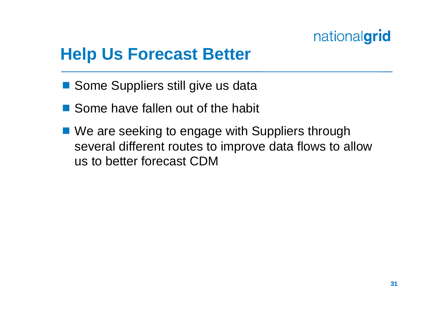## **Help Us Forecast Better**

- Some Suppliers still give us data
- Some have fallen out of the habit
- We are seeking to engage with Suppliers through several different routes to improve data flows to allow us to better forecast CDM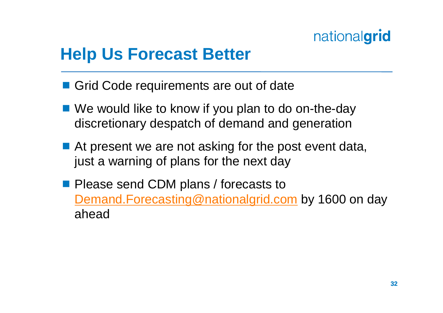## **Help Us Forecast Better**

- Grid Code requirements are out of date
- We would like to know if you plan to do on-the-day discretionary despatch of demand and generation
- At present we are not asking for the post event data, just a warning of plans for the next day
- **Please send CDM plans / forecasts to** Demand.Forecasting@nationalgrid.com by 1600 on day ahead